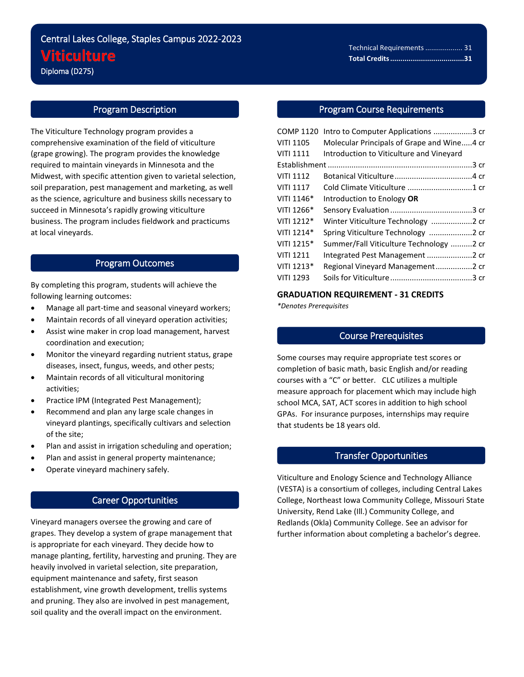# Central Lakes College, Staples Campus 2022-2023 **Viticulture** Diploma (D275)

# Program Description

i<br>L

The Viticulture Technology program provides a comprehensive examination of the field of viticulture (grape growing). The program provides the knowledge required to maintain vineyards in Minnesota and the Midwest, with specific attention given to varietal selection, soil preparation, pest management and marketing, as well as the science, agriculture and business skills necessary to succeed in Minnesota's rapidly growing viticulture business. The program includes fieldwork and practicums at local vineyards.

## Program Outcomes

By completing this program, students will achieve the following learning outcomes:

- Manage all part-time and seasonal vineyard workers;
- Maintain records of all vineyard operation activities;
- Assist wine maker in crop load management, harvest coordination and execution;
- Monitor the vineyard regarding nutrient status, grape diseases, insect, fungus, weeds, and other pests;
- Maintain records of all viticultural monitoring activities;
- Practice IPM (Integrated Pest Management);
- Recommend and plan any large scale changes in vineyard plantings, specifically cultivars and selection of the site;
- Plan and assist in irrigation scheduling and operation;
- Plan and assist in general property maintenance;
- Operate vineyard machinery safely.

# Career Opportunities

Vineyard managers oversee the growing and care of grapes. They develop a system of grape management that is appropriate for each vineyard. They decide how to manage planting, fertility, harvesting and pruning. They are heavily involved in varietal selection, site preparation, equipment maintenance and safety, first season establishment, vine growth development, trellis systems and pruning. They also are involved in pest management, soil quality and the overall impact on the environment.

#### Program Course Requirements

| <b>COMP 1120</b> | Intro to Computer Applications 3 cr        |  |
|------------------|--------------------------------------------|--|
| <b>VITI 1105</b> | Molecular Principals of Grape and Wine4 cr |  |
| <b>VITI 1111</b> | Introduction to Viticulture and Vineyard   |  |
|                  |                                            |  |
| <b>VITI 1112</b> |                                            |  |
| <b>VITI 1117</b> |                                            |  |
| VITI 1146*       | Introduction to Enology OR                 |  |
| VITI 1266*       |                                            |  |
| VITI 1212*       | Winter Viticulture Technology 2 cr         |  |
| VITI 1214*       | Spring Viticulture Technology 2 cr         |  |
| VITI 1215*       | Summer/Fall Viticulture Technology 2 cr    |  |
| <b>VITI 1211</b> | Integrated Pest Management 2 cr            |  |
| VITI 1213*       | Regional Vineyard Management2 cr           |  |
| <b>VITI 1293</b> |                                            |  |
|                  |                                            |  |

### **GRADUATION REQUIREMENT - 31 CREDITS**

*\*Denotes Prerequisites*

#### Course Prerequisites

Some courses may require appropriate test scores or completion of basic math, basic English and/or reading courses with a "C" or better. CLC utilizes a multiple measure approach for placement which may include high school MCA, SAT, ACT scores in addition to high school GPAs. For insurance purposes, internships may require that students be 18 years old.

#### Transfer Opportunities

Viticulture and Enology Science and Technology Alliance (VESTA) is a consortium of colleges, including Central Lakes College, Northeast Iowa Community College, Missouri State University, Rend Lake (Ill.) Community College, and Redlands (Okla) Community College. See an advisor for further information about completing a bachelor's degree.